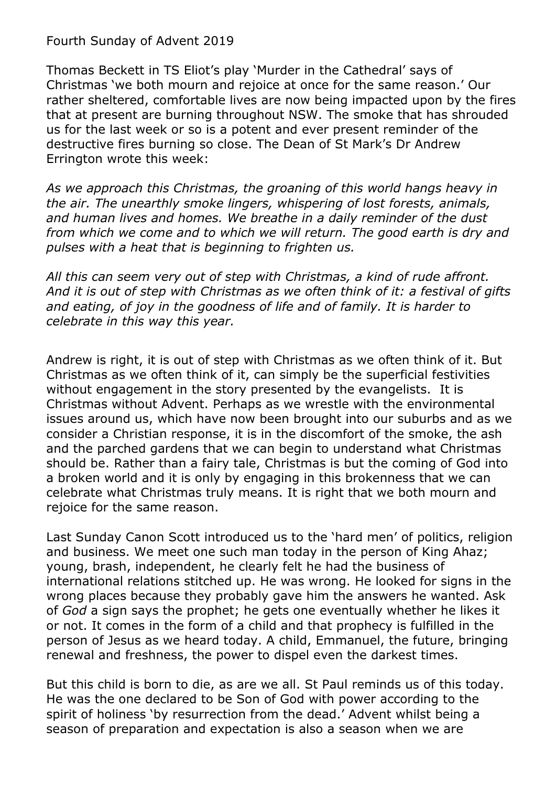## Fourth Sunday of Advent 2019

Thomas Beckett in TS Eliot's play 'Murder in the Cathedral' says of Christmas 'we both mourn and rejoice at once for the same reason.' Our rather sheltered, comfortable lives are now being impacted upon by the fires that at present are burning throughout NSW. The smoke that has shrouded us for the last week or so is a potent and ever present reminder of the destructive fires burning so close. The Dean of St Mark's Dr Andrew Errington wrote this week:

*As we approach this Christmas, the groaning of this world hangs heavy in the air. The unearthly smoke lingers, whispering of lost forests, animals, and human lives and homes. We breathe in a daily reminder of the dust from which we come and to which we will return. The good earth is dry and pulses with a heat that is beginning to frighten us.*

*All this can seem very out of step with Christmas, a kind of rude affront. And it is out of step with Christmas as we often think of it: a festival of gifts and eating, of joy in the goodness of life and of family. It is harder to celebrate in this way this year.*

Andrew is right, it is out of step with Christmas as we often think of it. But Christmas as we often think of it, can simply be the superficial festivities without engagement in the story presented by the evangelists. It is Christmas without Advent. Perhaps as we wrestle with the environmental issues around us, which have now been brought into our suburbs and as we consider a Christian response, it is in the discomfort of the smoke, the ash and the parched gardens that we can begin to understand what Christmas should be. Rather than a fairy tale, Christmas is but the coming of God into a broken world and it is only by engaging in this brokenness that we can celebrate what Christmas truly means. It is right that we both mourn and rejoice for the same reason.

Last Sunday Canon Scott introduced us to the 'hard men' of politics, religion and business. We meet one such man today in the person of King Ahaz; young, brash, independent, he clearly felt he had the business of international relations stitched up. He was wrong. He looked for signs in the wrong places because they probably gave him the answers he wanted. Ask of *God* a sign says the prophet; he gets one eventually whether he likes it or not. It comes in the form of a child and that prophecy is fulfilled in the person of Jesus as we heard today. A child, Emmanuel, the future, bringing renewal and freshness, the power to dispel even the darkest times.

But this child is born to die, as are we all. St Paul reminds us of this today. He was the one declared to be Son of God with power according to the spirit of holiness 'by resurrection from the dead.' Advent whilst being a season of preparation and expectation is also a season when we are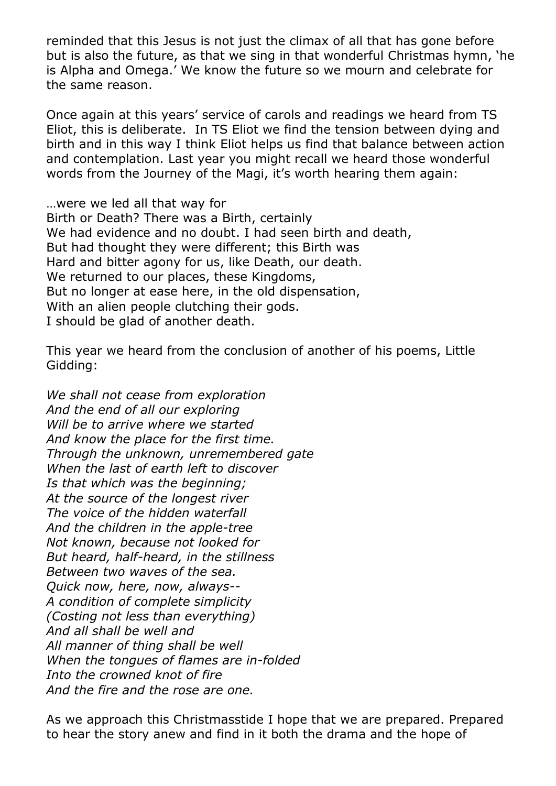reminded that this Jesus is not just the climax of all that has gone before but is also the future, as that we sing in that wonderful Christmas hymn, 'he is Alpha and Omega.' We know the future so we mourn and celebrate for the same reason.

Once again at this years' service of carols and readings we heard from TS Eliot, this is deliberate. In TS Eliot we find the tension between dying and birth and in this way I think Eliot helps us find that balance between action and contemplation. Last year you might recall we heard those wonderful words from the Journey of the Magi, it's worth hearing them again:

…were we led all that way for Birth or Death? There was a Birth, certainly We had evidence and no doubt. I had seen birth and death, But had thought they were different; this Birth was Hard and bitter agony for us, like Death, our death. We returned to our places, these Kingdoms, But no longer at ease here, in the old dispensation, With an alien people clutching their gods. I should be glad of another death.

This year we heard from the conclusion of another of his poems, Little Gidding:

*We shall not cease from exploration And the end of all our exploring Will be to arrive where we started And know the place for the first time. Through the unknown, unremembered gate When the last of earth left to discover Is that which was the beginning; At the source of the longest river The voice of the hidden waterfall And the children in the apple-tree Not known, because not looked for But heard, half-heard, in the stillness Between two waves of the sea. Quick now, here, now, always-- A condition of complete simplicity (Costing not less than everything) And all shall be well and All manner of thing shall be well When the tongues of flames are in-folded Into the crowned knot of fire And the fire and the rose are one.*

As we approach this Christmasstide I hope that we are prepared. Prepared to hear the story anew and find in it both the drama and the hope of